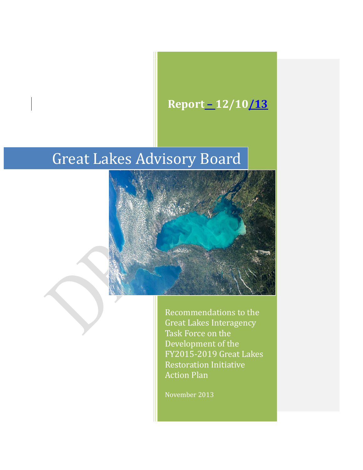# **Report – 12/10/13**

# Great Lakes Advisory Board



Recommendations to the Great Lakes Interagency Task Force on the Development of the FY2015-2019 Great Lakes Restoration Initiative Action Plan

November 2013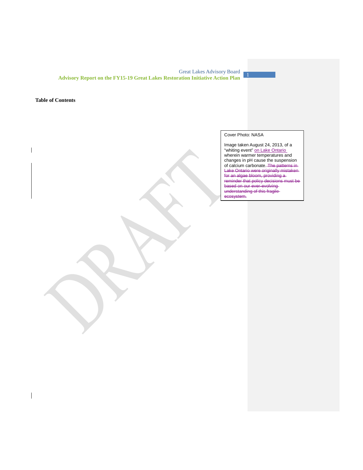### **Table of Contents**

 $\overline{\phantom{a}}$ 

 $\overline{\phantom{a}}$ 

# Cover Photo: NASA

Image taken August 24, 2013, of a "whiting event" on Lake Ontario wherein warmer temperatures and changes in pH cause the suspension of calcium carbonate. The patterns in Lake Ontario were originally mistaken for an algae bloom, providing a reminder that policy decisions must be based on our ever-evolving understanding of this fragile ecosystem.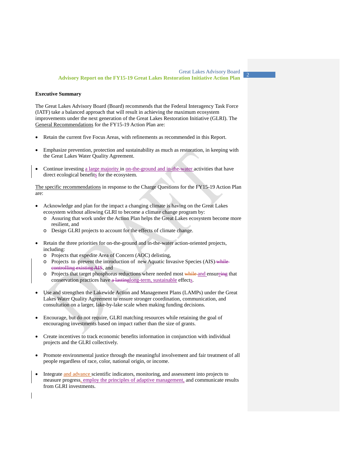#### **Executive Summary**

The Great Lakes Advisory Board (Board) recommends that the Federal Interagency Task Force (IATF) take a balanced approach that will result in achieving the maximum ecosystem improvements under the next generation of the Great Lakes Restoration Initiative (GLRI). The General Recommendations for the FY15-19 Action Plan are:

- Retain the current five Focus Areas, with refinements as recommended in this Report.
- Emphasize prevention, protection and sustainability as much as restoration, in keeping with the Great Lakes Water Quality Agreement.
- Continue investing a large majority in <u>on-the-ground and in-the-water</u> activities that have direct ecological benefits for the ecosystem.

The specific recommendations in response to the Charge Questions for the FY15-19 Action Plan are:

- Acknowledge and plan for the impact a changing climate is having on the Great Lakes ecosystem without allowing GLRI to become a climate change program by:
	- o Assuring that work under the Action Plan helps the Great Lakes ecosystem become more resilient, and
	- o Design GLRI projects to account for the effects of climate change.
- Retain the three priorities for on-the-ground and in-the-water action-oriented projects, including:
	- o Projects that expedite Area of Concern (AOC) delisting,
	- o Projects to prevent the introduction of new Aquatic Invasive Species (AIS) while controlling existing AIS, and
	- o Projects that target phosphorus reductions where needed most while and ensureing that conservation practices have a lastinglong-term, sustainable effects.
- Use and strengthen the Lakewide Action and Management Plans (LAMPs) under the Great Lakes Water Quality Agreement to ensure stronger coordination, communication, and consultation on a larger, lake-by-lake scale when making funding decisions.
- Encourage, but do not require, GLRI matching resources while retaining the goal of encouraging investments based on impact rather than the size of grants.
- Create incentives to track economic benefits information in conjunction with individual projects and the GLRI collectively.
- Promote environmental justice through the meaningful involvement and fair treatment of all people regardless of race, color, national origin, or income.
- <span id="page-2-0"></span>Integrate and advance scientific indicators, monitoring, and assessment into projects to measure progress, employ the principles of adaptive management, and communicate results from GLRI investments.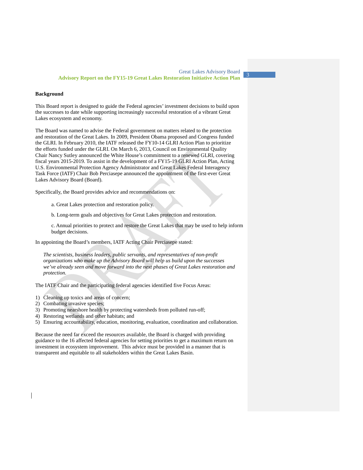#### **Background**

This Board report is designed to guide the Federal agencies' investment decisions to build upon the successes to date while supporting increasingly successful restoration of a vibrant Great Lakes ecosystem and economy.

The Board was named to advise the Federal government on matters related to the protection and restoration of the Great Lakes. In 2009, President Obama proposed and Congress funded the GLRI. In February 2010, the IATF released the FY10-14 GLRI Action Plan to prioritize the efforts funded under the GLRI. On March 6, 2013, Council on Environmental Quality Chair Nancy Sutley announced the White House's commitment to a renewed GLRI, covering fiscal years 2015-2019. To assist in the development of a FY15-19 GLRI Action Plan, Acting U.S. Environmental Protection Agency Administrator and Great Lakes Federal Interagency Task Force (IATF) Chair Bob Perciasepe announced the appointment of the first-ever Great Lakes Advisory Board (Board).

Specifically, the Board provides advice and recommendations on:

a. Great Lakes protection and restoration policy.

b. Long-term goals and objectives for Great Lakes protection and restoration.

c. Annual priorities to protect and restore the Great Lakes that may be used to help inform budget decisions.

In appointing the Board's members, IATF Acting Chair Perciasepe stated:

*The scientists, business leaders, public servants, and representatives of non-profit organizations who make up the Advisory Board will help us build upon the successes we've already seen and move forward into the next phases of Great Lakes restoration and protection.*

The IATF Chair and the participating federal agencies identified five Focus Areas:

- 1) Cleaning up toxics and areas of concern;
- 2) Combating invasive species;
- 3) Promoting nearshore health by protecting watersheds from polluted run-off;
- 4) Restoring wetlands and other habitats; and
- 5) Ensuring accountability, education, monitoring, evaluation, coordination and collaboration.

Because the need far exceed the resources available, the Board is charged with providing guidance to the 16 affected federal agencies for setting priorities to get a maximum return on investment in ecosystem improvement. This advice must be provided in a manner that is transparent and equitable to all stakeholders within the Great Lakes Basin.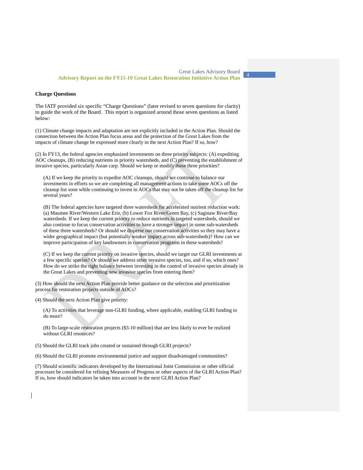#### **Charge Questions**

The IATF provided six specific "Charge Questions" (later revised to seven questions for clarity) to guide the work of the Board. This report is organized around those seven questions as listed below:

(1) Climate change impacts and adaptation are not explicitly included in the Action Plan. Should the connection between the Action Plan focus areas and the protection of the Great Lakes from the impacts of climate change be expressed more clearly in the next Action Plan? If so, how?

(2) In FY13, the federal agencies emphasized investments on three priority subjects: (A) expediting AOC cleanups, (B) reducing nutrients in priority watersheds, and (C) preventing the establishment of invasive species, particularly Asian carp. Should we keep or modify these three priorities?

(A) If we keep the priority to expedite AOC cleanups, should we continue to balance our investments in efforts so we are completing all management actions to take some AOCs off the cleanup list soon while continuing to invest in AOCs that may not be taken off the cleanup list for several years?

(B) The federal agencies have targeted three watersheds for accelerated nutrient reduction work: (a) Maumee River/Western Lake Erie, (b) Lower Fox River/Green Bay, (c) Saginaw River/Bay watersheds. If we keep the current priority to reduce nutrients in targeted watersheds, should we also continue to focus conservation activities to have a stronger impact in some sub-watersheds of these three watersheds? Or should we disperse our conservation activities so they may have a wider geographical impact (but potentially weaker impact across sub-watersheds)? How can we improve participation of key landowners in conservation programs in these watersheds?

(C) If we keep the current priority on invasive species, should we target our GLRI investments at a few specific species? Or should we address other invasive species, too, and if so, which ones? How do we strike the right balance between investing in the control of invasive species already in the Great Lakes and preventing new invasive species from entering them?

(3) How should the next Action Plan provide better guidance on the selection and prioritization process for restoration projects outside of AOCs?

(4) Should the next Action Plan give priority:

(A) To activities that leverage non-GLRI funding, where applicable, enabling GLRI funding to do more?

(B) To large-scale restoration projects (\$3-10 million) that are less likely to ever be realized without GLRI resources?

(5) Should the GLRI track jobs created or sustained through GLRI projects?

(6) Should the GLRI promote environmental justice and support disadvantaged communities?

(7) Should scientific indicators developed by the International Joint Commission or other official processes be considered for refining Measures of Progress or other aspects of the GLRI Action Plan? If so, how should indicators be taken into account in the next GLRI Action Plan?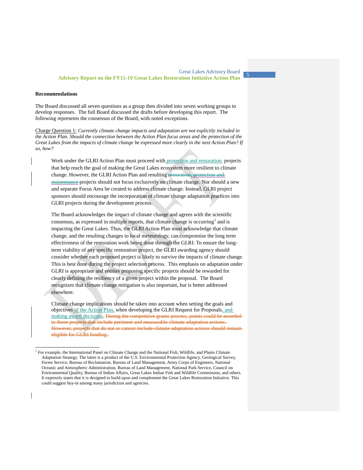#### **Recommendations**

The Board discussed all seven questions as a group then divided into seven working groups to develop responses. The full Board discussed the drafts before developing this report. The following represents the consensus of the Board, with noted exceptions.

Charge Question 1: *Currently climate change impacts and adaptation are not explicitly included in the Action Plan. Should the connection between the Action Plan focus areas and the protection of the Great Lakes from the impacts of climate change be expressed more clearly in the next Action Plan? If so, how?*

Work under the GLRI Action Plan must proceed with protection and restoration projects that help reach the goal of making the Great Lakes ecosystem more resilient to climate change. However, the GLRI Action Plan and resulting restoration, protection and maintenance projects should not focus exclusively on climate change. Nor should a new and separate Focus Area be created to address climate change. Instead, GLRI project sponsors should encourage the incorporation of climate change adaptation practices into GLRI projects during the development process.

The Board acknowledges the impact of climate change and agrees with the scientific consensus, as expressed in multiple reports, that climate change is occurring<sup>[1](#page-2-0)</sup> and is impacting the Great Lakes. Thus, the GLRI Action Plan must acknowledge that climate change, and the resulting changes to local meteorology, can compromise the long term effectiveness of the restoration work being done through the GLRI. To ensure the longterm viability of any specific restoration project, the GLRI awarding agency should consider whether each proposed project is likely to survive the impacts of climate change. This is best done during the project selection process. This emphasis on adaptation under GLRI is appropriate and entities proposing specific projects should be rewarded for clearly defining the resiliency of a given project within the proposal. The Board recognizes that climate change mitigation is also important, but is better addressed elsewhere.

Climate change implications should be taken into account when setting the goals and objectives of the Action Plan, when developing the GLRI Request for Proposals, and making award decisions. During the competitive grants process, points could be awardedto those projects that include pertinent and measurable climate adaptation actions. However, projects that do not or cannot include climate adaptation actions should remain eligible for GLRI funding.

<span id="page-5-0"></span> <sup>1</sup> For example, the International Panel on Climate Change and the National Fish, Wildlife, and Plants Climate Adaptation Strategy. The latter is a product of the U.S. Environmental Protection Agency, Geological Survey, Forest Service, Bureau of Reclamation, Bureau of Land Management, Army Corps of Engineers, National Oceanic and Atmospheric Administration, Bureau of Land Management, National Park Service, Council on Environmental Quality, Bureau of Indian Affairs, Great Lakes Indian Fish and Wildlife Commission, and others. It expressly states that it is designed to build upon and complement the Great Lakes Restoration Initiative. This could suggest buy-in among many jurisdiction and agencies.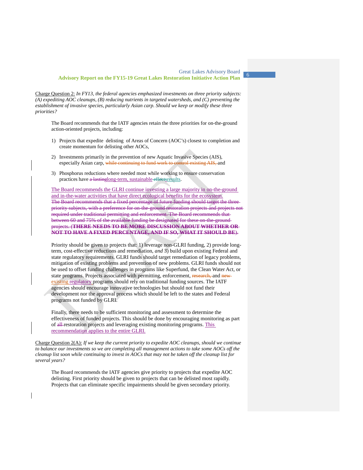Charge Question 2: *In FY13, the federal agencies emphasized investments on three priority subjects: (A) expediting AOC cleanups, (B) reducing nutrients in targeted watersheds, and (C) preventing the establishment of invasive species, particularly Asian carp. Should we keep or modify these three priorities?*

The Board recommends that the IATF agencies retain the three priorities for on-the-ground action-oriented projects, including:

- 1) Projects that expedite delisting of Areas of Concern (AOC's) closest to completion and create momentum for delisting other AOCs,
- 2) Investments primarily in the prevention of new Aquatic Invasive Species (AIS), especially Asian carp, while continuing to fund work to control existing AIS, and
- 3) Phosphorus reductions where needed most while working to ensure conservation practices have a lastinglong-term, sustainable effects results.

The Board recommends the GLRI continue investing a large majority in on-the-ground and in-the-water activities that have direct ecological benefits for the ecosystem. The Board recommends that a fixed percentage of future funding should target the three priority subjects, with a preference for on-the-ground restoration projects and projects not required under traditional permitting and enforcement. The Board recommends that between 60 and 75% of the available funding be designated for these on-the-ground projects. (**THERE NEEDS TO BE MORE DISCUSSION ABOUT WHETHER OR NOT TO HAVE A FIXED PERCENTAGE, AND IF SO, WHAT IT SHOULD BE**).

Priority should be given to projects that: 1) leverage non-GLRI funding, 2) provide longterm, cost-effective reductions and remediation, *and* 3) build upon existing Federal and state regulatory requirements. GLRI funds should target remediation of legacy problems, mitigation of existing problems and prevention of new problems. GLRI funds should not be used to offset funding challenges in programs like Superfund, the Clean Water Act, or state programs. Projects associated with permitting, enforcement, research, and new existing regulatory programs should rely on traditional funding sources. The IATF agencies should encourage innovative technologies but should not fund their development nor the approval process which should be left to the states and Federal programs not funded by GLRI.

Finally, there needs to be sufficient monitoring and assessment to determine the effectiveness of funded projects. This should be done by encouraging monitoring as part of all restoration projects and leveraging existing monitoring programs. This recommendation applies to the entire GLRI.

Charge Question 2(A): *If we keep the current priority to expedite AOC cleanups, should we continue to balance our investments so we are completing all management actions to take some AOCs off the cleanup list soon while continuing to invest in AOCs that may not be taken off the cleanup list for several years?*

The Board recommends the IATF agencies give priority to projects that expedite AOC delisting. First priority should be given to projects that can be delisted most rapidly. Projects that can eliminate specific impairments should be given secondary priority.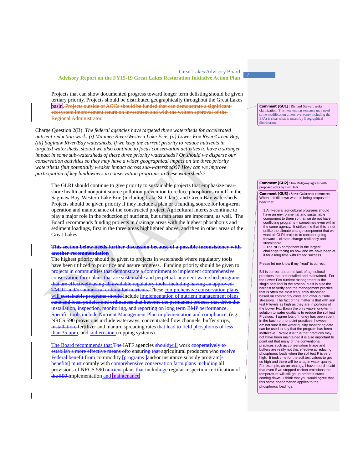Projects that can show documented progress toward longer term delisting should be given tertiary priority. Projects should be distributed geographically throughout the Great Lakes basin. Projects outside of AOCs should be funded that can demonstrate a significant ecosystem improvement return on investment and with the written approval of the Regional Administrator.

Charge Question 2(B): *The federal agencies have targeted three watersheds for accelerated nutrient reduction work: (i) Maumee River/Western Lake Erie, (ii) Lower Fox River/Green Bay, (iii) Saginaw River/Bay watersheds. If we keep the current priority to reduce nutrients in targeted watersheds, should we also continue to focus conservation activities to have a stronger impact in some sub-watersheds of these three priority watersheds? Or should we disperse our conservation activities so they may have a wider geographical impact on the three priority watersheds (but potentially weaker impact across sub-watersheds)? How can we improve participation of key landowners in conservation programs in these watersheds?*

The GLRI should continue to give priority to sustainable projects that emphasize nearshore health and nonpoint source pollution prevention to reduce phosphorus runoff in the Saginaw Bay, Western Lake Erie (including Lake St. Clair), and Green Bay watersheds. Projects should be given priority if they include a plan or a funding source for long-term operation and maintenance of the constructed project. Agricultural interests continue to play a major role in the reduction of nutrients, but urban areas are important, as well. The Board recommends funding projects in drainage areas with the highest phosphorus and sediment loadings, first in the three areas highlighted above, and then in other areas of the Great Lakes

**This section below needs further discussion because of a possible inconsistency with another recommendation**

The highest priority should be given to projects in watersheds where regulatory tools have been utilized to prioritize and assure progress. Funding priority should be given to projects in communities that demonstrate a commitment to implement comprehensive conservation farm plans that are sustainable and perpetual. augment watershed programs that are effectively using all available regulatory tools, including having an approved TMDL and/or numerical criteria for nutrients. These comprehensive conservation plans will sustainable programs should include implementation of nutrient management plans state and local policies and ordinances that become the permanent process that drive the installation, inspection, monitoring, and reporting on long term BMP performance.  $\frac{1}{2}$  ific tools include Nutrient Management Plan implementation and compliance. (e.g., NRCS 590 provisions include waterways, concentrated flow channels, buffer strips, installation, fertilizer and manure spreading rates that lead to field phosphorus of less than 35 ppm, and soil erosion cropping systems).

The Board recommends that The IATF agencies should will work cooperatively to establish a more effective means of to ensuring that agricultural producers who receive Federal benefit from commodity [programs ]and/or insurance subsidy program[s] benefits] must comply with comprehensive conservation farm plans including all provisions of NRCS 590 nutrient plans that includinge regular inspection certification of the 590-implementation and maintenance.

**Comment [GU1]:** Richard Stewart seeks clarification: This new ending sentence may need some modification unless everyone (including the EPA) is clear what is meant by Geographical distribution.

**Comment [GU2]:** Jim Ridgway agrees with proposed edits by Bill Hafs.

**Comment [GU3]:** Steve Galarneau comments: When I distill down what is being proposed I hear that:

1.All Federal agricultural programs should have an environmental and sustainable component to them so that we do not have conflicting programs – sometimes even within the same agency. It strikes me that this is not unlike the climate change component that we want all GLRI projects to consider going forward – climate change resiliency and sustainable.

2.The NPS component is the largest challenge facing us now and we have been at it for a long time with limited success.

Please let me know if my "read" is correct.

Bill is correct about the lack of agricultural practices that are installed and maintained. For the Lower Fox nutrient management is the single best tool in the arsenal but it is also the hardest to verify and the management practice that is often the most frequently discarded based on commodity costs and other outside stressors. The fact of the matter is that with soil test P levels as high as they are in portions of the Lower Fox Basin the only viable long-term solution to water quality is to reduce the soil test P values. I agree lots of money has been spent in the basin on nonpoint practices; however, I am not sure if the water quality monitoring data can be used to say that the program has been ineffective. While it is true that practices may not have been maintained it is also important to point out that many of the conventional practices such as conservation tillage and buffers are really not that effective at reducing phosphorus loads when the soil test P is very high. It took time for the soil test values to get so high and there will be a lag in water quality. For example, as an analogy, I have heard it said that even if we stopped carbon emissions the temperature will still go up before it starts coming down. I think that you would agree that this same phenomenon applies to the phosphorus loadings.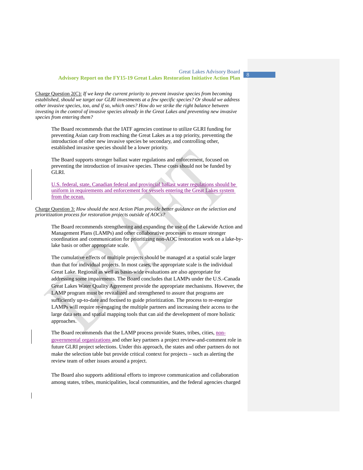Charge Question 2(C): *If we keep the current priority to prevent invasive species from becoming established, should we target our GLRI investments at a few specific species? Or should we address other invasive species, too, and if so, which ones? How do we strike the right balance between investing in the control of invasive species already in the Great Lakes and preventing new invasive species from entering them?*

The Board recommends that the IATF agencies continue to utilize GLRI funding for preventing Asian carp from reaching the Great Lakes as a top priority, preventing the introduction of other new invasive species be secondary, and controlling other, established invasive species should be a lower priority.

The Board supports stronger ballast water regulations and enforcement, focused on preventing the introduction of invasive species. These costs should not be funded by GLRI.

U.S. federal, state, Canadian federal and provincial ballast water regulations should be uniform in requirements and enforcement for vessels entering the Great Lakes system from the ocean.

Charge Question 3: *How should the next Action Plan provide better guidance on the selection and prioritization process for restoration projects outside of AOCs?* 

The Board recommends strengthening and expanding the use of the Lakewide Action and Management Plans (LAMPs) and other collaborative processes to ensure stronger coordination and communication for prioritizing non-AOC restoration work on a lake-bylake basis or other appropriate scale.

The cumulative effects of multiple projects should be managed at a spatial scale larger than that for individual projects. In most cases, the appropriate scale is the individual Great Lake. Regional as well as basin-wide evaluations are also appropriate for addressing some impairments. The Board concludes that LAMPs under the U.S.-Canada Great Lakes Water Quality Agreement provide the appropriate mechanisms. However, the LAMP program must be revitalized and strengthened to assure that programs are sufficiently up-to-date and focused to guide prioritization. The process to re-energize LAMPs will require re-engaging the multiple partners and increasing their access to the large data sets and spatial mapping tools that can aid the development of more holistic approaches.

The Board recommends that the LAMP process provide States, tribes, cities, nongovernmental organizations and other key partners a project review-and-comment role in future GLRI project selections. Under this approach, the states and other partners do not make the selection table but provide critical context for projects – such as alerting the review team of other issues around a project.

The Board also supports additional efforts to improve communication and collaboration among states, tribes, municipalities, local communities, and the federal agencies charged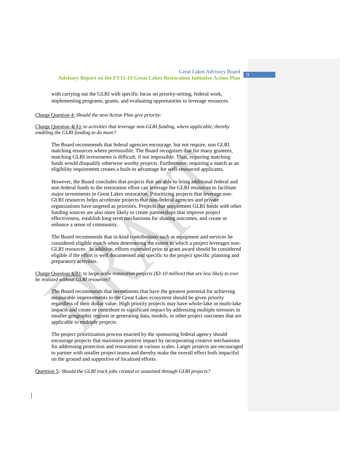with carrying out the GLRI with specific focus on priority-setting, federal work, implementing programs, grants, and evaluating opportunities to leverage resources.

Charge Question 4: *Should the next Action Plan give priority:*

Charge Question 4(A): *to activities that leverage non-GLRI funding, where applicable, thereby enabling the GLRI funding to do more?*

The Board recommends that federal agencies encourage, but not require, non GLRI matching resources where permissible. The Board recognizes that for many grantees, matching GLRI investments is difficult, if not impossible. Thus, requiring matching funds would disqualify otherwise worthy projects. Furthermore, requiring a match as an eligibility requirement creates a built-in advantage for well-resourced applicants.

However, the Board concludes that projects that are able to bring additional federal and non-federal funds to the restoration effort can leverage the GLRI resources to facilitate major investments in Great Lakes restoration. Prioritizing projects that leverage non-GLRI resources helps accelerate projects that non-federal agencies and private organizations have targeted as priorities. Projects that supplement GLRI funds with other funding sources are also more likely to create partnerships that improve project effectiveness, establish long-term mechanisms for sharing outcomes, and create or enhance a sense of community.

The Board recommends that in-kind contributions such as equipment and services be considered eligible match when determining the extent to which a project leverages non-GLRI resources. In addition, efforts expended prior to grant award should be considered eligible if the effort is well documented and specific to the project specific planning and preparatory activities.

Charge Question 4(B): *to large-scale restoration projects (\$3-10 million) that are less likely to ever be realized without GLRI resources?*

The Board recommends that investments that have the greatest potential for achieving measurable improvements to the Great Lakes ecosystem should be given priority regardless of their dollar value. High priority projects may have whole-lake or multi-lake impacts and create or contribute to significant impact by addressing multiple stressors in smaller geographic regions or generating data, models, or other project outcomes that are applicable to multiple projects.

The project prioritization process enacted by the sponsoring federal agency should encourage projects that maximize positive impact by incorporating creative mechanisms for addressing protection and restoration at various scales. Larger projects are encouraged to partner with smaller project teams and thereby make the overall effect both impactful on the ground and supportive of localized efforts.

Question 5: *Should the GLRI track jobs created or sustained through GLRI projects?*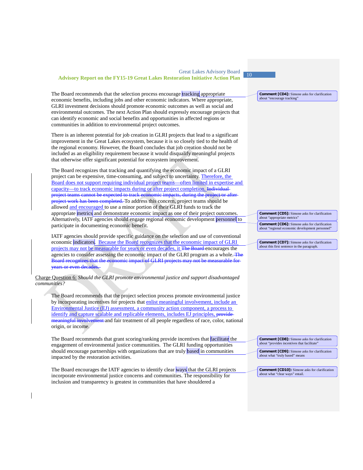| <b>Great Lakes Advisory Board</b><br><b>Advisory Report on the FY15-19 Great Lakes Restoration Initiative Action Plan</b>                                                                                                                                                                                                                                                                                                                                                                                                                 | 10                                                                                                                                                                                           |
|-------------------------------------------------------------------------------------------------------------------------------------------------------------------------------------------------------------------------------------------------------------------------------------------------------------------------------------------------------------------------------------------------------------------------------------------------------------------------------------------------------------------------------------------|----------------------------------------------------------------------------------------------------------------------------------------------------------------------------------------------|
| The Board recommends that the selection process encourage tracking appropriate<br>economic benefits, including jobs and other economic indicators. Where appropriate,<br>GLRI investment decisions should promote economic outcomes as well as social and<br>environmental outcomes. The next Action Plan should expressly encourage projects that<br>can identify economic and social benefits and opportunities in affected regions or<br>communities in addition to environmental project outcomes.                                    | <b>Comment [CD4]:</b> Simone asks for clarification<br>about "encourage tracking"                                                                                                            |
| There is an inherent potential for job creation in GLRI projects that lead to a significant<br>improvement in the Great Lakes ecosystem, because it is so closely tied to the health of<br>the regional economy. However, the Board concludes that job creation should not be<br>included as an eligibility requirement because it would disqualify meaningful projects<br>that otherwise offer significant potential for ecosystem improvement.                                                                                          |                                                                                                                                                                                              |
| The Board recognizes that tracking and quantifying the economic impact of a GLRI<br>project can be expensive, time-consuming, and subject to uncertainty. Therefore, the<br>Board does not support requiring individual project teams—often limited in expertise and<br>capacity-to track economic impacts during or after project completion. Individual<br>project teams cannot be expected to track economic impacts, during the project or after<br>project work has been completed. To address this concern, project teams should be |                                                                                                                                                                                              |
| allowed and encouraged to use a minor portion of their GLRI funds to track the<br>appropriate metrics and demonstrate economic impact as one of their project outcomes.<br>Alternatively, IATF agencies should engage regional economic development personnel to<br>participate in documenting economic benefit.                                                                                                                                                                                                                          | <b>Comment [CD5]:</b> Simone asks for clarification<br>about "appropriate metrics"<br><b>Comment [CD6]:</b> Simone asks for clarification<br>about "regional economic development personnel" |
| IATF agencies should provide specific guidance on the selection and use of conventional<br>economic indicators. Because the Board recognizes that the economic impact of GLRI<br>projects may not be measurable for years or even decades, it The Board encourages the<br>agencies to consider assessing the economic impact of the GLRI program as a whole. The<br>Board recognizes that the economic impact of GLRI projects may not be measurable for-<br>years or even decades.                                                       | <b>Comment [CD7]:</b> Simone asks for clarification<br>about this first sentence in the paragraph.                                                                                           |
| Charge Question 6: Should the GLRI promote environmental justice and support disadvantaged<br><i>communities?</i>                                                                                                                                                                                                                                                                                                                                                                                                                         |                                                                                                                                                                                              |
| The Board recommends that the project selection process promote environmental justice<br>by incorporating incentives for projects that enlist meaningful involvement, include an<br>Environmental Justice (EJ) assessment, a community action component, a process to<br>identify and capture scalable and replicable elements, includes EJ principles, provide-<br>meaningful involvement and fair treatment of all people regardless of race, color, national<br>origin, or income.                                                     |                                                                                                                                                                                              |
| The Board recommends that grant scoring/ranking provide incentives that facilitate the<br>engagement of environmental justice communities. The GLRI funding opportunities<br>should encourage partnerships with organizations that are truly based in communities<br>impacted by the restoration activities.                                                                                                                                                                                                                              | <b>Comment [CD8]:</b> Simone asks for clarification<br>about "provides incentives that facilitate"<br><b>Comment [CD9]:</b> Simone asks for clarification<br>about what "truly based" means  |
| The Board encourages the IATF agencies to identify clear ways that the GLRI projects<br>incorporate environmental justice concerns and communities. The responsibility for<br>inclusion and transparency is greatest in communities that have shouldered a                                                                                                                                                                                                                                                                                | <b>Comment [CD10]:</b> Simone asks for clarification<br>about what "clear ways" entail.                                                                                                      |

 $\overline{\phantom{a}}$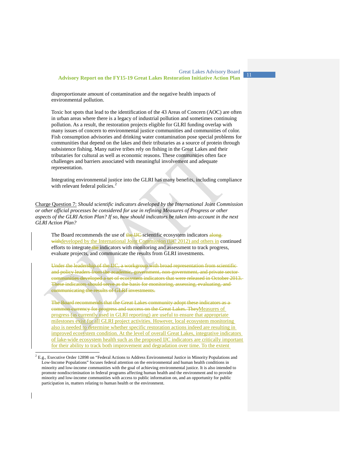disproportionate amount of contamination and the negative health impacts of environmental pollution.

Toxic hot spots that lead to the identification of the 43 Areas of Concern (AOC) are often in urban areas where there is a legacy of industrial pollution and sometimes continuing pollution. As a result, the restoration projects eligible for GLRI funding overlap with many issues of concern to environmental justice communities and communities of color. Fish consumption advisories and drinking water contamination pose special problems for communities that depend on the lakes and their tributaries as a source of protein through subsistence fishing. Many native tribes rely on fishing in the Great Lakes and their tributaries for cultural as well as economic reasons. These communities often face challenges and barriers associated with meaningful involvement and adequate representation.

Integrating environmental justice into the GLRI has many benefits, including compliance with relevant federal policies.<sup>[2](#page-5-0)</sup>

Charge Question 7: *Should scientific indicators developed by the International Joint Commission or other official processes be considered for use in refining Measures of Progress or other aspects of the GLRI Action Plan? If so, how should indicators be taken into account in the next GLRI Action Plan?*

The Board recommends the use of the IJC scientific ecosystem indicators alongwithdeveloped by the International Joint Commission (IJC 2012) and others in continued efforts to integrate the indicators with monitoring and assessment to track progress, evaluate projects, and communicate the results from GLRI investments.

Under the leadership of the IJC, a workgroup with broad representation from scientific and policy leaders from the academic, government, non-government, and private sector communities developed a set of ecosystem indicators that were released in October 2013. These indicators should serve as the basis for monitoring, assessing, evaluating, and communicating the results of GLRI investments.

The Board recommends that the Great Lakes community adopt these indicators as a common currency for progress and success on the Great Lakes. TheyMeasures of progress (as currently used in GLRI reporting) are useful to ensure that appropriate milestones exist for all GLRI project activities. However, local ecosystem monitoring also is needed to determine whether specific restoration actions indeed are resulting in improved ecosystem condition. At the level of overall Great Lakes, integrative indicators of lake-wide ecosystem health such as the proposed IJC indicators are critically important for their ability to track both improvement and degradation over time. To the extent

<sup>&</sup>lt;sup>2</sup> E.g., Executive Order 12898 on "Federal Actions to Address Environmental Justice in Minority Populations and Low-Income Populations" focuses federal attention on the environmental and human health conditions in minority and low-income communities with the goal of achieving environmental justice. It is also intended to promote nondiscrimination in federal programs affecting human health and the environment and to provide minority and low-income communities with access to public information on, and an opportunity for public participation in, matters relating to human health or the environment.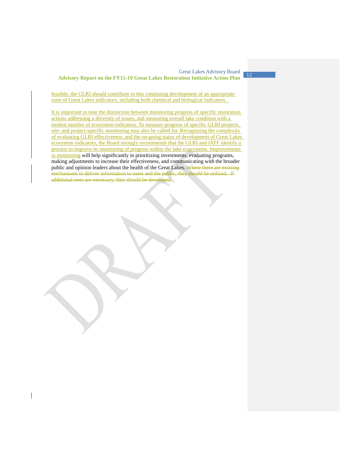feasible, the GLRI should contribute to this continuing development of an appropriate suite of Great Lakes indicators, including both chemical and biological indicators.

It is important to note the distinction between monitoring progress of specific restoration actions addressing a diversity of issues, and measuring overall lake condition with a modest number of ecosystem indicators. To measure progress of specific GLRI projects, site- and project-specific monitoring may also be called for. Recognizing the complexity of evaluating GLRI effectiveness, and the on-going status of development of Great Lakes ecosystem indicators, the Board strongly recommends that the GLRI and IATF identify a process to improve its monitoring of progress within the lake ecosystems. Improvements in monitoring will help significantly in prioritizing investments, evaluating programs, making adjustments to increase their effectiveness, and communicating with the broader public and opinion leaders about the health of the Great Lakes. Where there are existingmechanisms to deliver information to users and the public, they should be utilized. If additional ones are necessary, they should be developed.